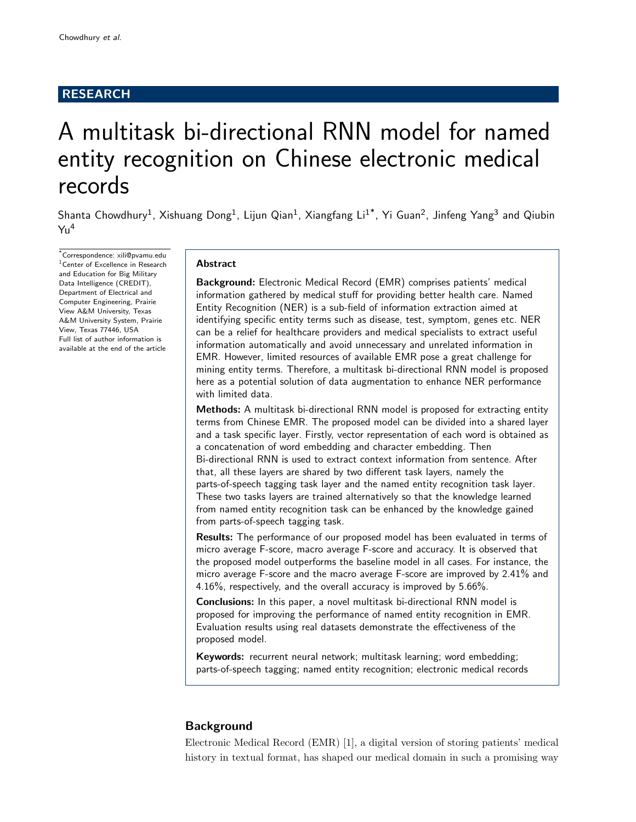# RESEARCH

# A multitask bi-directional RNN model for named entity recognition on Chinese electronic medical records

Shanta Chowdhury<sup>1</sup>, Xishuang Dong<sup>1</sup>, Lijun Qian<sup>1</sup>, Xiangfang Li<sup>1\*</sup>, Yi Guan<sup>2</sup>, Jinfeng Yang<sup>3</sup> and Qiubin  $Yu<sup>4</sup>$ 

\*Correspondence: xili@pvamu.edu <sup>1</sup> Center of Excellence in Research and Education for Big Military Data Intelligence (CREDIT), Department of Electrical and Computer Engineering, Prairie View A&M University, Texas A&M University System, Prairie View, Texas 77446, USA Full list of author information is available at the end of the article

## Abstract

Background: Electronic Medical Record (EMR) comprises patients' medical information gathered by medical stuff for providing better health care. Named Entity Recognition (NER) is a sub-field of information extraction aimed at identifying specific entity terms such as disease, test, symptom, genes etc. NER can be a relief for healthcare providers and medical specialists to extract useful information automatically and avoid unnecessary and unrelated information in EMR. However, limited resources of available EMR pose a great challenge for mining entity terms. Therefore, a multitask bi-directional RNN model is proposed here as a potential solution of data augmentation to enhance NER performance with limited data.

Methods: A multitask bi-directional RNN model is proposed for extracting entity terms from Chinese EMR. The proposed model can be divided into a shared layer and a task specific layer. Firstly, vector representation of each word is obtained as a concatenation of word embedding and character embedding. Then Bi-directional RNN is used to extract context information from sentence. After that, all these layers are shared by two different task layers, namely the parts-of-speech tagging task layer and the named entity recognition task layer. These two tasks layers are trained alternatively so that the knowledge learned from named entity recognition task can be enhanced by the knowledge gained from parts-of-speech tagging task.

Results: The performance of our proposed model has been evaluated in terms of micro average F-score, macro average F-score and accuracy. It is observed that the proposed model outperforms the baseline model in all cases. For instance, the micro average F-score and the macro average F-score are improved by 2.41% and 4.16%, respectively, and the overall accuracy is improved by 5.66%.

Conclusions: In this paper, a novel multitask bi-directional RNN model is proposed for improving the performance of named entity recognition in EMR. Evaluation results using real datasets demonstrate the effectiveness of the proposed model.

Keywords: recurrent neural network; multitask learning; word embedding; parts-of-speech tagging; named entity recognition; electronic medical records

# **Background**

Electronic Medical Record (EMR) [1], a digital version of storing patients' medical history in textual format, has shaped our medical domain in such a promising way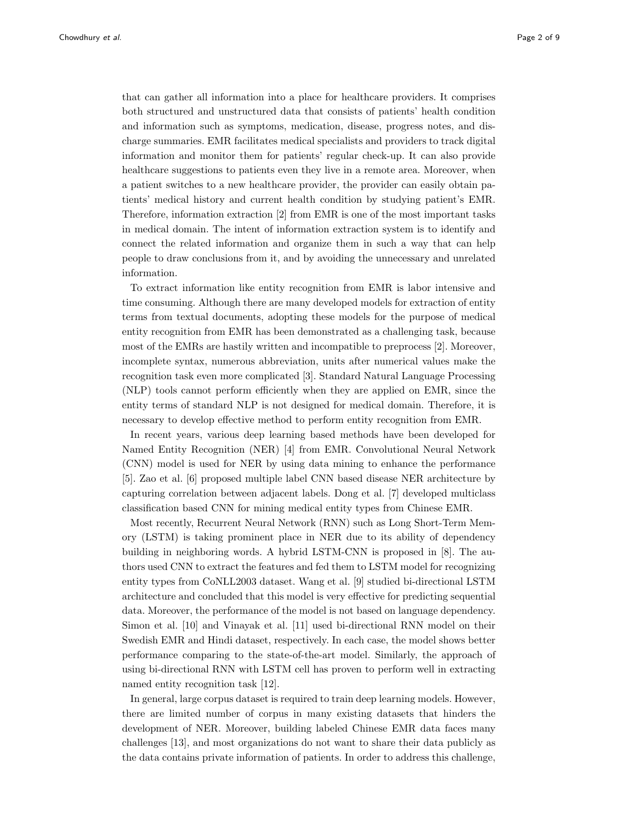that can gather all information into a place for healthcare providers. It comprises both structured and unstructured data that consists of patients' health condition and information such as symptoms, medication, disease, progress notes, and discharge summaries. EMR facilitates medical specialists and providers to track digital information and monitor them for patients' regular check-up. It can also provide healthcare suggestions to patients even they live in a remote area. Moreover, when a patient switches to a new healthcare provider, the provider can easily obtain patients' medical history and current health condition by studying patient's EMR. Therefore, information extraction [2] from EMR is one of the most important tasks in medical domain. The intent of information extraction system is to identify and connect the related information and organize them in such a way that can help people to draw conclusions from it, and by avoiding the unnecessary and unrelated information.

To extract information like entity recognition from EMR is labor intensive and time consuming. Although there are many developed models for extraction of entity terms from textual documents, adopting these models for the purpose of medical entity recognition from EMR has been demonstrated as a challenging task, because most of the EMRs are hastily written and incompatible to preprocess [2]. Moreover, incomplete syntax, numerous abbreviation, units after numerical values make the recognition task even more complicated [3]. Standard Natural Language Processing (NLP) tools cannot perform efficiently when they are applied on EMR, since the entity terms of standard NLP is not designed for medical domain. Therefore, it is necessary to develop effective method to perform entity recognition from EMR.

In recent years, various deep learning based methods have been developed for Named Entity Recognition (NER) [4] from EMR. Convolutional Neural Network (CNN) model is used for NER by using data mining to enhance the performance [5]. Zao et al. [6] proposed multiple label CNN based disease NER architecture by capturing correlation between adjacent labels. Dong et al. [7] developed multiclass classification based CNN for mining medical entity types from Chinese EMR.

Most recently, Recurrent Neural Network (RNN) such as Long Short-Term Memory (LSTM) is taking prominent place in NER due to its ability of dependency building in neighboring words. A hybrid LSTM-CNN is proposed in [8]. The authors used CNN to extract the features and fed them to LSTM model for recognizing entity types from CoNLL2003 dataset. Wang et al. [9] studied bi-directional LSTM architecture and concluded that this model is very effective for predicting sequential data. Moreover, the performance of the model is not based on language dependency. Simon et al. [10] and Vinayak et al. [11] used bi-directional RNN model on their Swedish EMR and Hindi dataset, respectively. In each case, the model shows better performance comparing to the state-of-the-art model. Similarly, the approach of using bi-directional RNN with LSTM cell has proven to perform well in extracting named entity recognition task [12].

In general, large corpus dataset is required to train deep learning models. However, there are limited number of corpus in many existing datasets that hinders the development of NER. Moreover, building labeled Chinese EMR data faces many challenges [13], and most organizations do not want to share their data publicly as the data contains private information of patients. In order to address this challenge,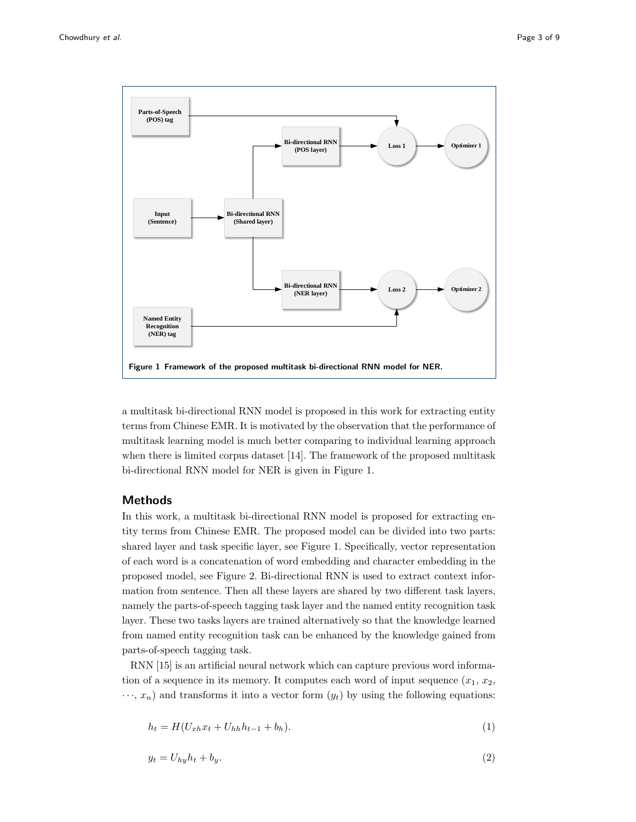

a multitask bi-directional RNN model is proposed in this work for extracting entity terms from Chinese EMR. It is motivated by the observation that the performance of multitask learning model is much better comparing to individual learning approach when there is limited corpus dataset [14]. The framework of the proposed multitask bi-directional RNN model for NER is given in Figure 1.

# Methods

In this work, a multitask bi-directional RNN model is proposed for extracting entity terms from Chinese EMR. The proposed model can be divided into two parts: shared layer and task specific layer, see Figure 1. Specifically, vector representation of each word is a concatenation of word embedding and character embedding in the proposed model, see Figure 2. Bi-directional RNN is used to extract context information from sentence. Then all these layers are shared by two different task layers, namely the parts-of-speech tagging task layer and the named entity recognition task layer. These two tasks layers are trained alternatively so that the knowledge learned from named entity recognition task can be enhanced by the knowledge gained from parts-of-speech tagging task.

RNN [15] is an artificial neural network which can capture previous word information of a sequence in its memory. It computes each word of input sequence  $(x_1, x_2,$  $\cdots$ ,  $x_n$ ) and transforms it into a vector form  $(y_t)$  by using the following equations:

$$
h_t = H(U_{xh}x_t + U_{hh}h_{t-1} + b_h).
$$
\n(1)

$$
y_t = U_{hy}h_t + b_y. \tag{2}
$$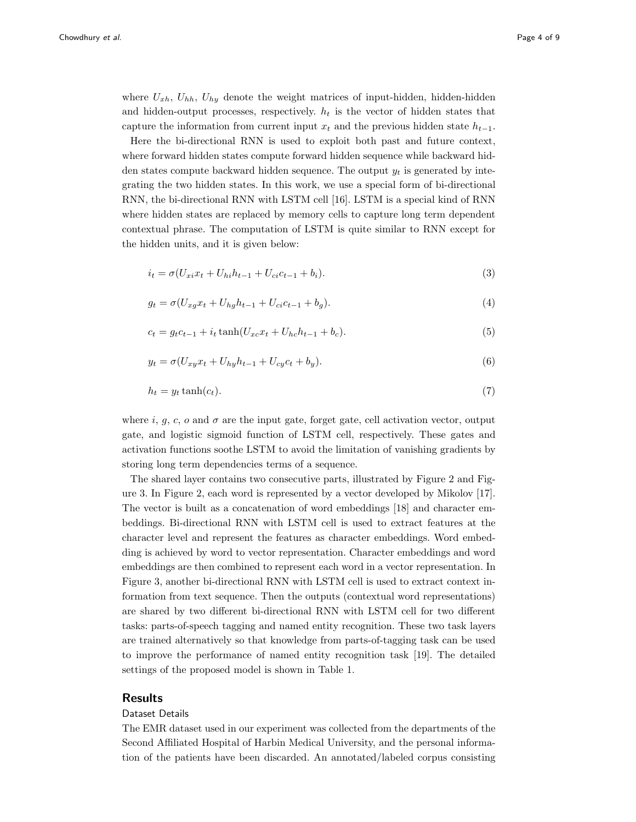where  $U_{xh}$ ,  $U_{hh}$ ,  $U_{hy}$  denote the weight matrices of input-hidden, hidden-hidden and hidden-output processes, respectively.  $h_t$  is the vector of hidden states that capture the information from current input  $x_t$  and the previous hidden state  $h_{t-1}$ .

Here the bi-directional RNN is used to exploit both past and future context, where forward hidden states compute forward hidden sequence while backward hidden states compute backward hidden sequence. The output  $y_t$  is generated by integrating the two hidden states. In this work, we use a special form of bi-directional RNN, the bi-directional RNN with LSTM cell [16]. LSTM is a special kind of RNN where hidden states are replaced by memory cells to capture long term dependent contextual phrase. The computation of LSTM is quite similar to RNN except for the hidden units, and it is given below:

$$
i_t = \sigma(U_{xi}x_t + U_{hi}h_{t-1} + U_{ci}c_{t-1} + b_i).
$$
\n(3)

$$
g_t = \sigma(U_{xg}x_t + U_{hg}h_{t-1} + U_{ci}c_{t-1} + b_g).
$$
\n(4)

$$
c_t = g_t c_{t-1} + i_t \tanh(U_{xc} x_t + U_{hc} h_{t-1} + b_c).
$$
\n(5)

$$
y_t = \sigma (U_{xy} x_t + U_{hy} h_{t-1} + U_{cy} c_t + b_y).
$$
\n(6)

$$
h_t = y_t \tanh(c_t). \tag{7}
$$

where i, g, c, o and  $\sigma$  are the input gate, forget gate, cell activation vector, output gate, and logistic sigmoid function of LSTM cell, respectively. These gates and activation functions soothe LSTM to avoid the limitation of vanishing gradients by storing long term dependencies terms of a sequence.

The shared layer contains two consecutive parts, illustrated by Figure 2 and Figure 3. In Figure 2, each word is represented by a vector developed by Mikolov [17]. The vector is built as a concatenation of word embeddings [18] and character embeddings. Bi-directional RNN with LSTM cell is used to extract features at the character level and represent the features as character embeddings. Word embedding is achieved by word to vector representation. Character embeddings and word embeddings are then combined to represent each word in a vector representation. In Figure 3, another bi-directional RNN with LSTM cell is used to extract context information from text sequence. Then the outputs (contextual word representations) are shared by two different bi-directional RNN with LSTM cell for two different tasks: parts-of-speech tagging and named entity recognition. These two task layers are trained alternatively so that knowledge from parts-of-tagging task can be used to improve the performance of named entity recognition task [19]. The detailed settings of the proposed model is shown in Table 1.

### Results

#### Dataset Details

The EMR dataset used in our experiment was collected from the departments of the Second Affiliated Hospital of Harbin Medical University, and the personal information of the patients have been discarded. An annotated/labeled corpus consisting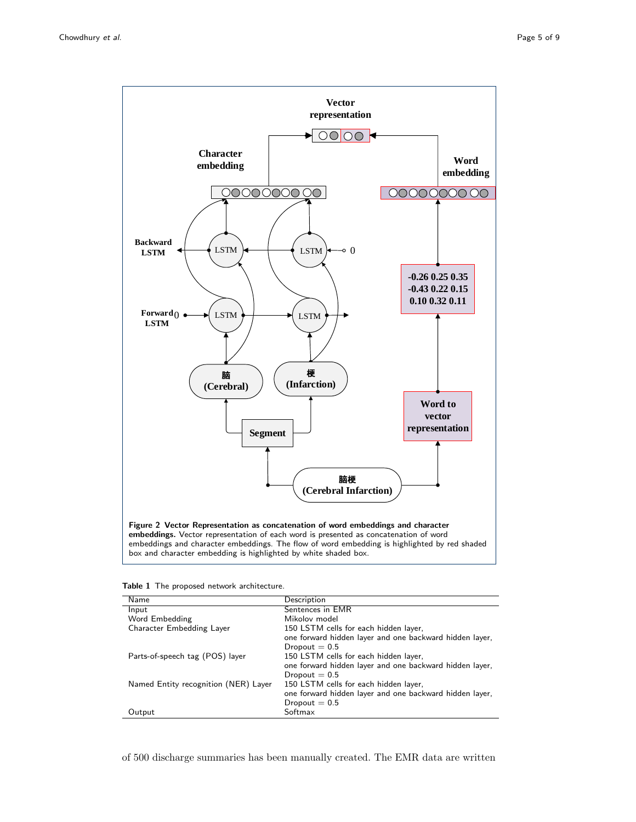

| Table 1 The proposed network architecture. |  |  |
|--------------------------------------------|--|--|
|--------------------------------------------|--|--|

| Name                                 | Description                                             |
|--------------------------------------|---------------------------------------------------------|
| Input                                | Sentences in EMR                                        |
| Word Embedding                       | Mikolov model                                           |
| Character Embedding Layer            | 150 LSTM cells for each hidden layer,                   |
|                                      | one forward hidden layer and one backward hidden layer, |
|                                      | Dropout $= 0.5$                                         |
| Parts-of-speech tag (POS) layer      | 150 LSTM cells for each hidden layer,                   |
|                                      | one forward hidden layer and one backward hidden layer, |
|                                      | Dropout $= 0.5$                                         |
| Named Entity recognition (NER) Layer | 150 LSTM cells for each hidden layer,                   |
|                                      | one forward hidden layer and one backward hidden layer, |
|                                      | Dropout $= 0.5$                                         |
| Output                               | Softmax                                                 |

of 500 discharge summaries has been manually created. The EMR data are written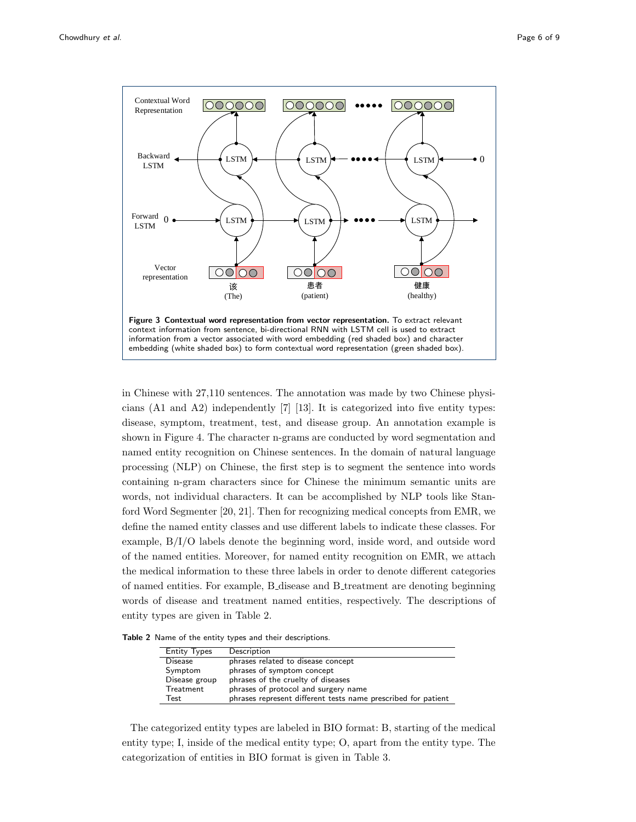

in Chinese with 27,110 sentences. The annotation was made by two Chinese physicians (A1 and A2) independently [7] [13]. It is categorized into five entity types: disease, symptom, treatment, test, and disease group. An annotation example is shown in Figure 4. The character n-grams are conducted by word segmentation and named entity recognition on Chinese sentences. In the domain of natural language processing (NLP) on Chinese, the first step is to segment the sentence into words containing n-gram characters since for Chinese the minimum semantic units are words, not individual characters. It can be accomplished by NLP tools like Stanford Word Segmenter [20, 21]. Then for recognizing medical concepts from EMR, we define the named entity classes and use different labels to indicate these classes. For example, B/I/O labels denote the beginning word, inside word, and outside word of the named entities. Moreover, for named entity recognition on EMR, we attach the medical information to these three labels in order to denote different categories of named entities. For example, B disease and B treatment are denoting beginning words of disease and treatment named entities, respectively. The descriptions of entity types are given in Table 2.

Table 2 Name of the entity types and their descriptions.

| <b>Entity Types</b> | Description                                                   |
|---------------------|---------------------------------------------------------------|
| <b>Disease</b>      | phrases related to disease concept                            |
| Symptom             | phrases of symptom concept                                    |
| Disease group       | phrases of the cruelty of diseases                            |
| Treatment           | phrases of protocol and surgery name                          |
| Test                | phrases represent different tests name prescribed for patient |

The categorized entity types are labeled in BIO format: B, starting of the medical entity type; I, inside of the medical entity type; O, apart from the entity type. The categorization of entities in BIO format is given in Table 3.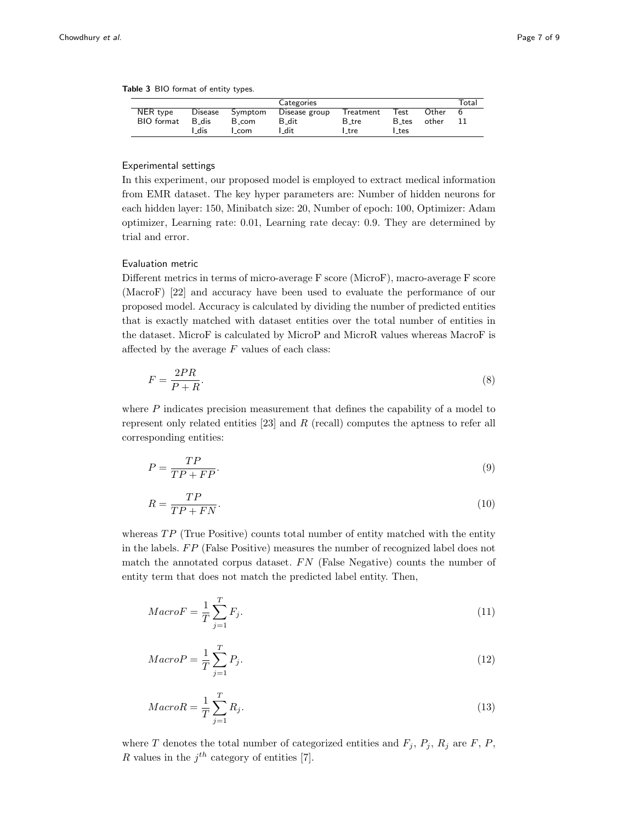Table 3 BIO format of entity types.

|                   |                |         | Categories    |           |                  |       | Total |
|-------------------|----------------|---------|---------------|-----------|------------------|-------|-------|
| NER type          | <b>Disease</b> | Symptom | Disease group | Treatment | Test             | Other | b     |
| <b>BIO</b> format | B dis          | B_com   | B_dit         | B_tre     | B_tes            | other |       |
|                   | dis            | com     | l dit         | l tre     | $_{\text{-tes}}$ |       |       |

# Experimental settings

In this experiment, our proposed model is employed to extract medical information from EMR dataset. The key hyper parameters are: Number of hidden neurons for each hidden layer: 150, Minibatch size: 20, Number of epoch: 100, Optimizer: Adam optimizer, Learning rate: 0.01, Learning rate decay: 0.9. They are determined by trial and error.

## Evaluation metric

Different metrics in terms of micro-average F score (MicroF), macro-average F score (MacroF) [22] and accuracy have been used to evaluate the performance of our proposed model. Accuracy is calculated by dividing the number of predicted entities that is exactly matched with dataset entities over the total number of entities in the dataset. MicroF is calculated by MicroP and MicroR values whereas MacroF is affected by the average  $F$  values of each class:

$$
F = \frac{2PR}{P + R}.\tag{8}
$$

where  $P$  indicates precision measurement that defines the capability of a model to represent only related entities [23] and R (recall) computes the aptness to refer all corresponding entities:

$$
P = \frac{TP}{TP + FP}.\tag{9}
$$

$$
R = \frac{TP}{TP + FN}.\tag{10}
$$

whereas  $TP$  (True Positive) counts total number of entity matched with the entity in the labels.  $FP$  (False Positive) measures the number of recognized label does not match the annotated corpus dataset.  $FN$  (False Negative) counts the number of entity term that does not match the predicted label entity. Then,

$$
Maccr = \frac{1}{T} \sum_{j=1}^{T} F_j.
$$
\n<sup>(11)</sup>

$$
MacroP = \frac{1}{T} \sum_{j=1}^{T} P_j.
$$
\n
$$
(12)
$$

$$
MacroR = \frac{1}{T} \sum_{j=1}^{T} R_j.
$$
\n<sup>(13)</sup>

where T denotes the total number of categorized entities and  $F_i$ ,  $P_i$ ,  $R_i$  are  $F$ ,  $P$ , R values in the  $j^{th}$  category of entities [7].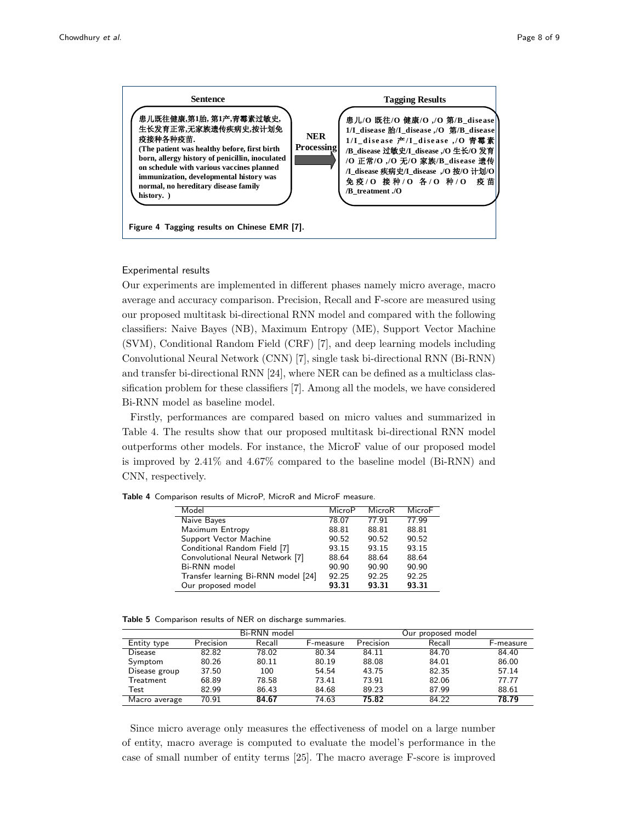

#### Experimental results

Our experiments are implemented in different phases namely micro average, macro  $\sum_{i=1}^{n} \frac{1}{i}$ average and accuracy comparison. Precision, Recall and F-score are measured using our proposed multitask bi-directional RNN model and compared with the following classifiers: Naive Bayes (NB), Maximum Entropy (ME), Support Vector Machine Convolutional Neural Network (CNN) [7], single task bi-directional RNN (Bi-RNN) (SVM), Conditional Random Field (CRF) [7], and deep learning models including and transfer bi-directional RNN [24], where NER can be defined as a multiclass classification problem for these classifiers [7]. Among all the models, we have considered Bi-RNN model as baseline model.

Firstly, performances are compared based on micro values and summarized in Table 4. The results show that our proposed multitask bi-directional RNN model outperforms other models. For instance, the MicroF value of our proposed model is improved by 2.41% and 4.67% compared to the baseline model (Bi-RNN) and CNN, respectively.

|  |  | <b>Table 4</b> Comparison results of MicroP, MicroR and MicroF measure. |  |  |  |
|--|--|-------------------------------------------------------------------------|--|--|--|
|--|--|-------------------------------------------------------------------------|--|--|--|

| Model                               | MicroP | MicroR | MicroF |
|-------------------------------------|--------|--------|--------|
| Naive Bayes                         | 78.07  | 77.91  | 77.99  |
| Maximum Entropy                     | 88.81  | 88.81  | 88.81  |
| Support Vector Machine              | 90.52  | 90.52  | 90.52  |
| Conditional Random Field [7]        | 93.15  | 93.15  | 93.15  |
| Convolutional Neural Network [7]    | 88.64  | 88.64  | 88.64  |
| Bi-RNN model                        | 90.90  | 90.90  | 90.90  |
| Transfer learning Bi-RNN model [24] | 92.25  | 92.25  | 92.25  |
| Our proposed model                  | 93.31  | 93.31  | 93.31  |

|  |  |  | Table 5 Comparison results of NER on discharge summaries. |  |  |  |  |  |  |
|--|--|--|-----------------------------------------------------------|--|--|--|--|--|--|
|--|--|--|-----------------------------------------------------------|--|--|--|--|--|--|

|                |           | Bi-RNN model |           |           | proposed model<br>Our |                   |
|----------------|-----------|--------------|-----------|-----------|-----------------------|-------------------|
| Entity type    | Precision | Recall       | F-measure | Precision | Recall                | <b>H</b> -measure |
| <b>Disease</b> | 82.82     | 78.02        | 80.34     | 84.11     | 84.70                 | 84.40             |
| Symptom        | 80.26     | 80.11        | 80.19     | 88.08     | 84.01                 | 86.00             |
| Disease group  | 37.50     | 100          | 54.54     | 43.75     | 82.35                 | 57.14             |
| Treatment      | 68.89     | 78.58        | 73.41     | 73.91     | 82.06                 | 77.77             |
| Test           | 82.99     | 86.43        | 84.68     | 89.23     | 87.99                 | 88.61             |
| Macro average  | 70.91     | 84.67        | 74.63     | 75.82     | 84.22                 | 78.79             |

Since micro average only measures the effectiveness of model on a large number of entity, macro average is computed to evaluate the model's performance in the case of small number of entity terms [25]. The macro average F-score is improved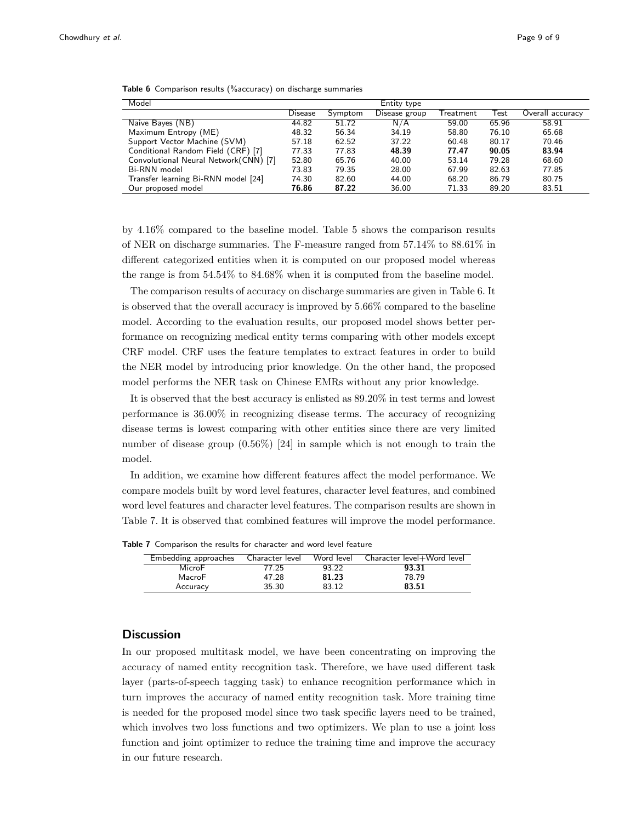| Model                                  |                |         | Entity type   |           |       |                  |
|----------------------------------------|----------------|---------|---------------|-----------|-------|------------------|
|                                        | <b>Disease</b> | Symptom | Disease group | Treatment | Test  | Overall accuracy |
| Naive Bayes (NB)                       | 44.82          | 51.72   | N/A           | 59.00     | 65.96 | 58.91            |
| Maximum Entropy (ME)                   | 48.32          | 56.34   | 34.19         | 58.80     | 76.10 | 65.68            |
| Support Vector Machine (SVM)           | 57.18          | 62.52   | 37.22         | 60.48     | 80.17 | 70.46            |
| Conditional Random Field (CRF) [7]     | 77.33          | 77.83   | 48.39         | 77.47     | 90.05 | 83.94            |
| Convolutional Neural Network (CNN) [7] | 52.80          | 65.76   | 40.00         | 53.14     | 79.28 | 68.60            |
| Bi-RNN model                           | 73.83          | 79.35   | 28.00         | 67.99     | 82.63 | 77.85            |
| Transfer learning Bi-RNN model [24]    | 74.30          | 82.60   | 44.00         | 68.20     | 86.79 | 80.75            |
| Our proposed model                     | 76.86          | 87.22   | 36.00         | 71.33     | 89.20 | 83.51            |

Table 6 Comparison results (%accuracy) on discharge summaries

by 4.16% compared to the baseline model. Table 5 shows the comparison results of NER on discharge summaries. The F-measure ranged from 57.14% to 88.61% in different categorized entities when it is computed on our proposed model whereas the range is from 54.54% to 84.68% when it is computed from the baseline model.

The comparison results of accuracy on discharge summaries are given in Table 6. It is observed that the overall accuracy is improved by 5.66% compared to the baseline model. According to the evaluation results, our proposed model shows better performance on recognizing medical entity terms comparing with other models except CRF model. CRF uses the feature templates to extract features in order to build the NER model by introducing prior knowledge. On the other hand, the proposed model performs the NER task on Chinese EMRs without any prior knowledge.

It is observed that the best accuracy is enlisted as 89.20% in test terms and lowest performance is 36.00% in recognizing disease terms. The accuracy of recognizing disease terms is lowest comparing with other entities since there are very limited number of disease group (0.56%) [24] in sample which is not enough to train the model.

In addition, we examine how different features affect the model performance. We compare models built by word level features, character level features, and combined word level features and character level features. The comparison results are shown in Table 7. It is observed that combined features will improve the model performance.

| Embedding approaches | Character level | Word level | Character level+Word level |
|----------------------|-----------------|------------|----------------------------|
| MicroF               | 77.25           | 93.22      | 93.31                      |
| MacroF               | 47.28           | 81.23      | 78.79                      |
| Accuracy             | 35.30           | 83.12      | 83.51                      |

Table 7 Comparison the results for character and word level feature

# **Discussion**

In our proposed multitask model, we have been concentrating on improving the accuracy of named entity recognition task. Therefore, we have used different task layer (parts-of-speech tagging task) to enhance recognition performance which in turn improves the accuracy of named entity recognition task. More training time is needed for the proposed model since two task specific layers need to be trained, which involves two loss functions and two optimizers. We plan to use a joint loss function and joint optimizer to reduce the training time and improve the accuracy in our future research.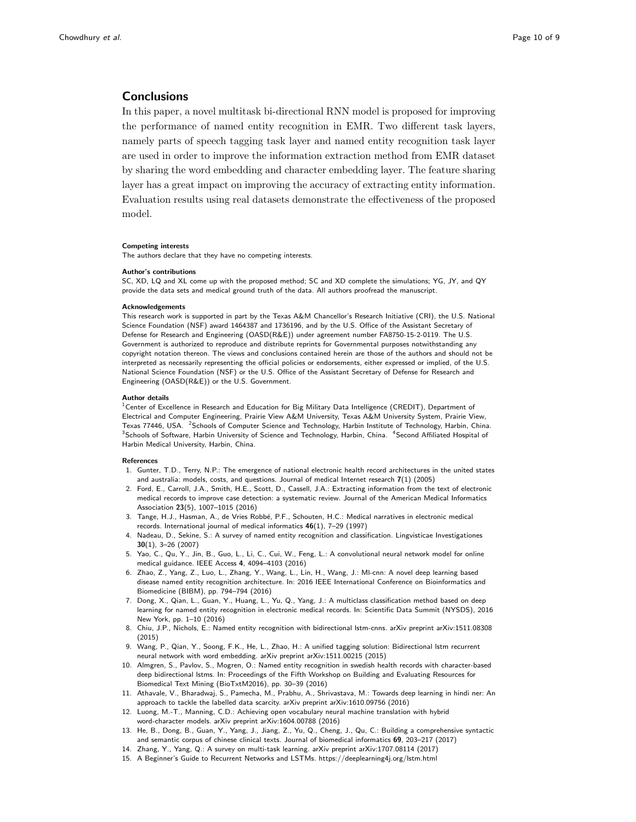# **Conclusions**

In this paper, a novel multitask bi-directional RNN model is proposed for improving the performance of named entity recognition in EMR. Two different task layers, namely parts of speech tagging task layer and named entity recognition task layer are used in order to improve the information extraction method from EMR dataset by sharing the word embedding and character embedding layer. The feature sharing layer has a great impact on improving the accuracy of extracting entity information. Evaluation results using real datasets demonstrate the effectiveness of the proposed model.

#### Competing interests

The authors declare that they have no competing interests.

#### Author's contributions

SC, XD, LQ and XL come up with the proposed method; SC and XD complete the simulations; YG, JY, and QY provide the data sets and medical ground truth of the data. All authors proofread the manuscript.

#### Acknowledgements

This research work is supported in part by the Texas A&M Chancellor's Research Initiative (CRI), the U.S. National Science Foundation (NSF) award 1464387 and 1736196, and by the U.S. Office of the Assistant Secretary of Defense for Research and Engineering (OASD(R&E)) under agreement number FA8750-15-2-0119. The U.S. Government is authorized to reproduce and distribute reprints for Governmental purposes notwithstanding any copyright notation thereon. The views and conclusions contained herein are those of the authors and should not be interpreted as necessarily representing the official policies or endorsements, either expressed or implied, of the U.S. National Science Foundation (NSF) or the U.S. Office of the Assistant Secretary of Defense for Research and Engineering (OASD(R&E)) or the U.S. Government.

#### Author details

 $^1$ Center of Excellence in Research and Education for Big Military Data Intelligence (CREDIT), Department of Electrical and Computer Engineering, Prairie View A&M University, Texas A&M University System, Prairie View, Texas 77446, USA. <sup>2</sup>Schools of Computer Science and Technology, Harbin Institute of Technology, Harbin, China. <sup>3</sup>Schools of Software, Harbin University of Science and Technology, Harbin, China. <sup>4</sup>Second Affiliated Hospital of Harbin Medical University, Harbin, China.

#### References

- 1. Gunter, T.D., Terry, N.P.: The emergence of national electronic health record architectures in the united states and australia: models, costs, and questions. Journal of medical Internet research 7(1) (2005)
- 2. Ford, E., Carroll, J.A., Smith, H.E., Scott, D., Cassell, J.A.: Extracting information from the text of electronic medical records to improve case detection: a systematic review. Journal of the American Medical Informatics Association 23(5), 1007–1015 (2016)
- 3. Tange, H.J., Hasman, A., de Vries Robbé, P.F., Schouten, H.C.: Medical narratives in electronic medical records. International journal of medical informatics 46(1), 7–29 (1997)
- 4. Nadeau, D., Sekine, S.: A survey of named entity recognition and classification. Lingvisticae Investigationes 30(1), 3–26 (2007)
- 5. Yao, C., Qu, Y., Jin, B., Guo, L., Li, C., Cui, W., Feng, L.: A convolutional neural network model for online medical guidance. IEEE Access 4, 4094–4103 (2016)
- 6. Zhao, Z., Yang, Z., Luo, L., Zhang, Y., Wang, L., Lin, H., Wang, J.: Ml-cnn: A novel deep learning based disease named entity recognition architecture. In: 2016 IEEE International Conference on Bioinformatics and Biomedicine (BIBM), pp. 794–794 (2016)
- 7. Dong, X., Qian, L., Guan, Y., Huang, L., Yu, Q., Yang, J.: A multiclass classification method based on deep learning for named entity recognition in electronic medical records. In: Scientific Data Summit (NYSDS), 2016 New York, pp. 1–10 (2016)
- 8. Chiu, J.P., Nichols, E.: Named entity recognition with bidirectional lstm-cnns. arXiv preprint arXiv:1511.08308 (2015)
- 9. Wang, P., Qian, Y., Soong, F.K., He, L., Zhao, H.: A unified tagging solution: Bidirectional lstm recurrent neural network with word embedding. arXiv preprint arXiv:1511.00215 (2015)
- 10. Almgren, S., Pavlov, S., Mogren, O.: Named entity recognition in swedish health records with character-based deep bidirectional lstms. In: Proceedings of the Fifth Workshop on Building and Evaluating Resources for Biomedical Text Mining (BioTxtM2016), pp. 30–39 (2016)
- 11. Athavale, V., Bharadwaj, S., Pamecha, M., Prabhu, A., Shrivastava, M.: Towards deep learning in hindi ner: An approach to tackle the labelled data scarcity. arXiv preprint arXiv:1610.09756 (2016)
- 12. Luong, M.-T., Manning, C.D.: Achieving open vocabulary neural machine translation with hybrid word-character models. arXiv preprint arXiv:1604.00788 (2016)
- 13. He, B., Dong, B., Guan, Y., Yang, J., Jiang, Z., Yu, Q., Cheng, J., Qu, C.: Building a comprehensive syntactic and semantic corpus of chinese clinical texts. Journal of biomedical informatics 69, 203–217 (2017)
- 14. Zhang, Y., Yang, Q.: A survey on multi-task learning. arXiv preprint arXiv:1707.08114 (2017)
- 15. A Beginner's Guide to Recurrent Networks and LSTMs. https://deeplearning4j.org/lstm.html